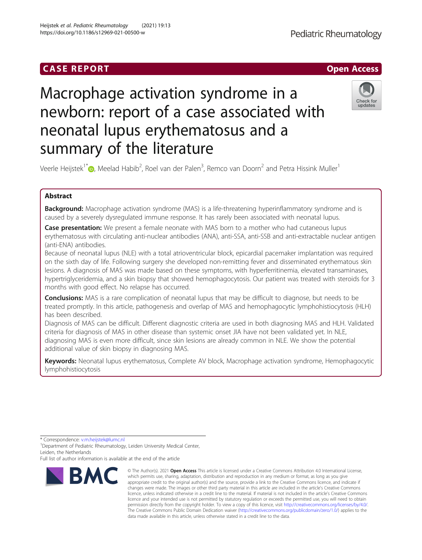# Heijstek et al. Pediatric Rheumatology (2021) 19:13 https://doi.org/10.1186/s12969-021-00500-w

Pediatric Rheumatology

# Macrophage activation syndrome in a newborn: report of a case associated with neonatal lupus erythematosus and a summary of the literature



Veerle Heijstek $^{\dagger}$  (D), Meelad Habib<sup>2</sup>, Roel van der Palen<sup>3</sup>, Remco van Doorn<sup>2</sup> and Petra Hissink Muller<sup>1</sup>

# Abstract

**Background:** Macrophage activation syndrome (MAS) is a life-threatening hyperinflammatory syndrome and is caused by a severely dysregulated immune response. It has rarely been associated with neonatal lupus.

Case presentation: We present a female neonate with MAS born to a mother who had cutaneous lupus erythematosus with circulating anti-nuclear antibodies (ANA), anti-SSA, anti-SSB and anti-extractable nuclear antigen (anti-ENA) antibodies.

Because of neonatal lupus (NLE) with a total atrioventricular block, epicardial pacemaker implantation was required on the sixth day of life. Following surgery she developed non-remitting fever and disseminated erythematous skin lesions. A diagnosis of MAS was made based on these symptoms, with hyperferritinemia, elevated transaminases, hypertriglyceridemia, and a skin biopsy that showed hemophagocytosis. Our patient was treated with steroids for 3 months with good effect. No relapse has occurred.

**Conclusions:** MAS is a rare complication of neonatal lupus that may be difficult to diagnose, but needs to be treated promptly. In this article, pathogenesis and overlap of MAS and hemophagocytic lymphohistiocytosis (HLH) has been described.

Diagnosis of MAS can be difficult. Different diagnostic criteria are used in both diagnosing MAS and HLH. Validated criteria for diagnosis of MAS in other disease than systemic onset JIA have not been validated yet. In NLE, diagnosing MAS is even more difficult, since skin lesions are already common in NLE. We show the potential additional value of skin biopsy in diagnosing MAS.

Keywords: Neonatal lupus erythematosus, Complete AV block, Macrophage activation syndrome, Hemophagocytic lymphohistiocytosis

\* Correspondence: [v.m.heijstek@lumc.nl](mailto:v.m.heijstek@lumc.nl) <sup>1</sup>

<sup>1</sup> Department of Pediatric Rheumatology, Leiden University Medical Center, Leiden, the Netherlands

Full list of author information is available at the end of the article



<sup>©</sup> The Author(s), 2021 **Open Access** This article is licensed under a Creative Commons Attribution 4.0 International License, which permits use, sharing, adaptation, distribution and reproduction in any medium or format, as long as you give appropriate credit to the original author(s) and the source, provide a link to the Creative Commons licence, and indicate if changes were made. The images or other third party material in this article are included in the article's Creative Commons licence, unless indicated otherwise in a credit line to the material. If material is not included in the article's Creative Commons licence and your intended use is not permitted by statutory regulation or exceeds the permitted use, you will need to obtain permission directly from the copyright holder. To view a copy of this licence, visit [http://creativecommons.org/licenses/by/4.0/.](http://creativecommons.org/licenses/by/4.0/) The Creative Commons Public Domain Dedication waiver [\(http://creativecommons.org/publicdomain/zero/1.0/](http://creativecommons.org/publicdomain/zero/1.0/)) applies to the data made available in this article, unless otherwise stated in a credit line to the data.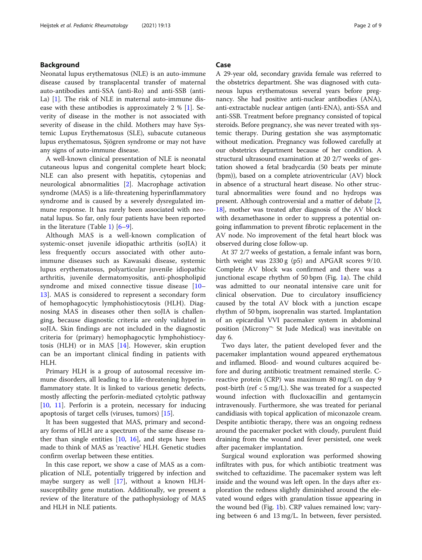# Background

Neonatal lupus erythematosus (NLE) is an auto-immune disease caused by transplacental transfer of maternal auto-antibodies anti-SSA (anti-Ro) and anti-SSB (anti-La) [[1\]](#page-7-0). The risk of NLE in maternal auto-immune disease with these antibodies is approximately 2 % [[1](#page-7-0)]. Severity of disease in the mother is not associated with severity of disease in the child. Mothers may have Systemic Lupus Erythematosus (SLE), subacute cutaneous lupus erythematosus, Sjögren syndrome or may not have any signs of auto-immune disease.

A well-known clinical presentation of NLE is neonatal cutaneous lupus and congenital complete heart block; NLE can also present with hepatitis, cytopenias and neurological abnormalities [[2\]](#page-7-0). Macrophage activation syndrome (MAS) is a life-threatening hyperinflammatory syndrome and is caused by a severely dysregulated immune response. It has rarely been associated with neonatal lupus. So far, only four patients have been reported in the literature (Table [1\)](#page-2-0) [[6](#page-7-0)–[9\]](#page-7-0).

Although MAS is a well-known complication of systemic-onset juvenile idiopathic arthritis (soJIA) it less frequently occurs associated with other autoimmune diseases such as Kawasaki disease, systemic lupus erythematosus, polyarticular juvenile idiopathic arthritis, juvenile dermatomyositis, anti-phospholipid syndrome and mixed connective tissue disease [[10](#page-7-0)– [13\]](#page-7-0). MAS is considered to represent a secondary form of hemophagocytic lymphohistiocytosis (HLH). Diagnosing MAS in diseases other then soJIA is challenging, because diagnostic criteria are only validated in soJIA. Skin findings are not included in the diagnostic criteria for (primary) hemophagocytic lymphohistiocytosis (HLH) or in MAS [[14\]](#page-7-0). However, skin eruption can be an important clinical finding in patients with HLH.

Primary HLH is a group of autosomal recessive immune disorders, all leading to a life-threatening hyperinflammatory state. It is linked to various genetic defects, mostly affecting the perforin-mediated cytolytic pathway [[10,](#page-7-0) [11\]](#page-7-0). Perforin is a protein, necessary for inducing apoptosis of target cells (viruses, tumors) [[15\]](#page-7-0).

It has been suggested that MAS, primary and secondary forms of HLH are a spectrum of the same disease rather than single entities  $[10, 16]$  $[10, 16]$  $[10, 16]$  $[10, 16]$ , and steps have been made to think of MAS as 'reactive' HLH. Genetic studies confirm overlap between these entities.

In this case report, we show a case of MAS as a complication of NLE, potentially triggered by infection and maybe surgery as well [\[17](#page-7-0)], without a known HLHsusceptibility gene mutation. Additionally, we present a review of the literature of the pathophysiology of MAS and HLH in NLE patients.

# Case

A 29-year old, secondary gravida female was referred to the obstetrics department. She was diagnosed with cutaneous lupus erythematosus several years before pregnancy. She had positive anti-nuclear antibodies (ANA), anti-extractable nuclear antigen (anti-ENA), anti-SSA and anti-SSB. Treatment before pregnancy consisted of topical steroids. Before pregnancy, she was never treated with systemic therapy. During gestation she was asymptomatic without medication. Pregnancy was followed carefully at our obstetrics department because of her condition. A structural ultrasound examination at 20 2/7 weeks of gestation showed a fetal bradycardia (50 beats per minute (bpm)), based on a complete atrioventricular (AV) block in absence of a structural heart disease. No other structural abnormalities were found and no hydrops was present. Although controversial and a matter of debate [[2](#page-7-0), [18](#page-7-0)], mother was treated after diagnosis of the AV block with dexamethasone in order to suppress a potential ongoing inflammation to prevent fibrotic replacement in the AV node. No improvement of the fetal heart block was observed during close follow-up.

At 37 2/7 weeks of gestation, a female infant was born, birth weight was 2330 g (p5) and APGAR scores 9/10. Complete AV block was confirmed and there was a junctional escape rhythm of 50 bpm (Fig. [1](#page-3-0)a). The child was admitted to our neonatal intensive care unit for clinical observation. Due to circulatory insufficiency caused by the total AV block with a junction escape rhythm of 50 bpm, isoprenalin was started. Implantation of an epicardial VVI pacemaker system in abdominal position (Microny™, St Jude Medical) was inevitable on day 6.

Two days later, the patient developed fever and the pacemaker implantation wound appeared erythematous and inflamed. Blood- and wound cultures acquired before and during antibiotic treatment remained sterile. Creactive protein (CRP) was maximum 80 mg/L on day 9 post-birth (ref < 5 mg/L). She was treated for a suspected wound infection with flucloxacillin and gentamycin intravenously. Furthermore, she was treated for perianal candidiasis with topical application of miconazole cream. Despite antibiotic therapy, there was an ongoing redness around the pacemaker pocket with cloudy, purulent fluid draining from the wound and fever persisted, one week after pacemaker implantation.

Surgical wound exploration was performed showing infiltrates with pus, for which antibiotic treatment was switched to ceftazidime. The pacemaker system was left inside and the wound was left open. In the days after exploration the redness slightly diminished around the elevated wound edges with granulation tissue appearing in the wound bed (Fig. [1b](#page-3-0)). CRP values remained low; varying between 6 and 13 mg/L. In between, fever persisted.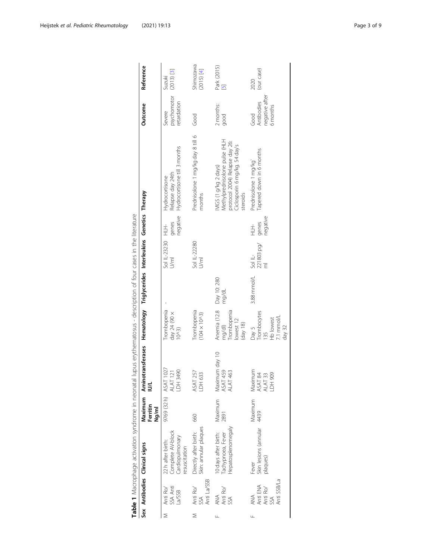<span id="page-2-0"></span>

|   |                                                   | Sex Antibodies Clinical signs                                              | Ferritin<br>Ng/ml | Maximum Aminotransferases Hematology Triglycerides Interleukins Genetics Therapy<br>₫ |                                                                             |                      |                                         |                         |                                                                                                                                      | Outcome                                          | Reference                     |
|---|---------------------------------------------------|----------------------------------------------------------------------------|-------------------|---------------------------------------------------------------------------------------|-----------------------------------------------------------------------------|----------------------|-----------------------------------------|-------------------------|--------------------------------------------------------------------------------------------------------------------------------------|--------------------------------------------------|-------------------------------|
| Σ | SSA Anti<br>Anti Ro/<br>La/SSB                    | Complete AV-block<br>Cardiopulmonary<br>22 h after birth:<br>resuscitation | 9769 (32h)        | 1027<br>ALAT 121<br>LDH 3490<br>ASAT :                                                | Trombopenia<br>day 24 (90 $\times$ 10^3)                                    |                      | Sol IL-23230<br>U/ml                    | negative<br>genes<br>土土 | Hydrocortisone till 3 months<br>Relapse day 24th<br>Hydrocortisone                                                                   | psychomotor<br>retardation<br>Severe             | $(2013)$ [3]<br>Suzuki        |
| Σ | Anti La/SSB<br>Anti Ro/<br>SSA                    | Skin: annular plaques<br>Directly after birth:                             | 660               | 257<br>DH 633<br>ASAT                                                                 | Trombopenia<br>$(104 \times 10^{13})$                                       |                      | Sol IL-22280<br>U/ml                    |                         | Prednisolone 1 mg/kg day 8 till 6<br>months                                                                                          | Good                                             | Shimozawa<br>(2015) [4]       |
| Щ | Anti Ro/<br>SSA<br>ANA                            | Hepatosplenomegaly<br>10 days after birth:<br>Tachypnoea, Fever            | Maximum<br>2891   | Maximum day 10<br>ASAT 459<br>463<br>ALAT <sup>2</sup>                                | Anemia (12.8<br>Trombopenia<br>lowest 12<br>$\frac{18}{18}$<br>mg/dl)       | Day 10: 280<br>mg/dL |                                         |                         | Methylprednisolone pulse (HLH<br>protocol 2004) Relapse day 26:<br>Ciclosporin 6 mg/kg. 54 day's<br>MIGS (1 g/kg 2 days)<br>steroids | 2 months:<br>good                                | Park (2015)<br>$\overline{5}$ |
| Щ | Anti SSB/La<br>ANA<br>Anti ENA<br>Anti Ro/<br>SSA | Skin lesions (annular<br>plaques)<br>Fever                                 | Maximum<br>4439   | Maximum<br>ASAT 84<br>ALAT 33<br>LDH 909                                              | Trombocytes<br>7.1 mmol/L<br><b>Hb</b> lowest<br>day $32$<br>Day $5$<br>135 | 3.88 mmol/L          | Sol IL-<br>221803 pg/<br>$\overline{E}$ | negative<br>genes<br>土三 | Tapered down in 6 months<br>Prednisolone 1 mg/kg`                                                                                    | negative after<br>Antibodies<br>6 months<br>Good | (our case)<br>2020            |

Table 1 Macrophage activation syndrome in neonatal lupus erythematosus - description of four cases in the literature<br>Sex Antibodies Clinical signs Maximum Aminotransferases Hematology Triglycerides Interleukins Genetics Table 1 Macrophage activation syndrome in neonatal lupus erythematosus - description of four cases in the literature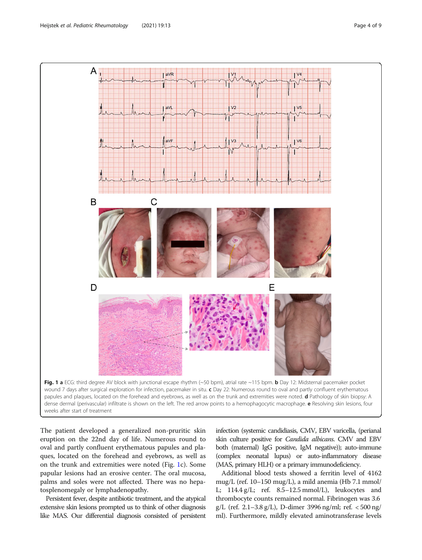<span id="page-3-0"></span>

The patient developed a generalized non-pruritic skin eruption on the 22nd day of life. Numerous round to oval and partly confluent erythematous papules and plaques, located on the forehead and eyebrows, as well as on the trunk and extremities were noted (Fig. 1c). Some papular lesions had an erosive center. The oral mucosa, palms and soles were not affected. There was no hepatosplenomegaly or lymphadenopathy.

Persistent fever, despite antibiotic treatment, and the atypical extensive skin lesions prompted us to think of other diagnosis like MAS. Our differential diagnosis consisted of persistent

infection (systemic candidiasis, CMV, EBV varicella, (perianal skin culture positive for Candida albicans. CMV and EBV both (maternal) IgG positive, IgM negative)); auto-immune (complex neonatal lupus) or auto-inflammatory disease (MAS, primary HLH) or a primary immunodeficiency.

Additional blood tests showed a ferritin level of 4162 mug/L (ref. 10–150 mug/L), a mild anemia (Hb 7.1 mmol/ L; 114.4 g/L; ref. 8.5–12.5 mmol/L), leukocytes and thrombocyte counts remained normal. Fibrinogen was 3.6 g/L (ref. 2.1–3.8 g/L), D-dimer 3996 ng/ml; ref. < 500 ng/ ml). Furthermore, mildly elevated aminotransferase levels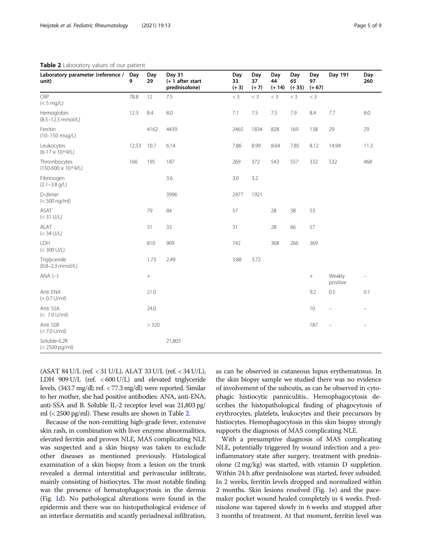| Laboratory parameter (reference /<br>unit)    | Day<br>9 | Day<br>29        | Day 31<br>$(+ 1$ after start<br>prednisolone) | Day<br>33<br>$(+ 3)$ | Day<br>37<br>$(+ 7)$ | Day<br>44<br>$(+ 14)$ | Day<br>65<br>$(+ 35)$ | Day<br>97<br>$(+ 67)$ | Day 191                  | Day<br>260        |
|-----------------------------------------------|----------|------------------|-----------------------------------------------|----------------------|----------------------|-----------------------|-----------------------|-----------------------|--------------------------|-------------------|
| CRP<br>(< 5 mg/L)                             | 78.8     | 12               | 7.5                                           | $<$ 3                | $<$ 3                | $<$ 3                 | $<$ 3                 | $<$ 3                 |                          |                   |
| Hemoglobin<br>$(8.5 - 12.5$ mmol/L)           | 12.3     | 8.4              | 8.0                                           | 7.1                  | 7.5                  | 7.5                   | 7.9                   | 8.4                   | 7.7                      | 8.0               |
| Ferritin<br>(10-150 mug/L)                    |          | 4162             | 4439                                          | 2465                 | 1834                 | 828                   | 169                   | 138                   | 29                       | 29                |
| Leukocytes<br>$(6-17 \times 10^{0}/L)$        | 12.53    | 10.7             | 6.14                                          | 7.86                 | 8.99                 | 8.64                  | 7.85                  | 8.12                  | 14.94                    | 11.3              |
| Thrombocytes<br>$(150 - 600 \times 10^{9}/L)$ | 166      | 195              | 187                                           | 269                  | 372                  | 543                   | 557                   | 332                   | 532                      | 468               |
| Fibrinogen<br>$(2.1 - 3.8$ g/L)               |          |                  | 3.6                                           | 3.0                  | 3.2                  |                       |                       |                       |                          |                   |
| D-dimer<br>$(< 500$ ng/ml)                    |          |                  | 3996                                          | 2977                 | 1921                 |                       |                       |                       |                          |                   |
| ASAT<br>(< 31 U/L)                            |          | 79               | 84                                            | 57                   |                      | 28                    | 38                    | 53                    |                          |                   |
| ALAT<br>(< 34 U/L)                            |          | 31               | 33                                            | 31                   |                      | 28                    | 66                    | 57                    |                          |                   |
| LDH<br>$(< 300$ U/L)                          |          | 810              | 909                                           | 742                  |                      | 368                   | 266                   | 369                   |                          |                   |
| Triglyceride<br>$(0.8 - 2.3$ mmol/L)          |          | 1.73             | 2.49                                          | 3.88                 | 3.72                 |                       |                       |                       |                          |                   |
| $ANA (-)$                                     |          | $\boldsymbol{+}$ |                                               |                      |                      |                       |                       | $\! +$                | Weakly<br>positive       | $\qquad \qquad -$ |
| Anti ENA<br>$(< 0.7$ U/ml)                    |          | 21.0             |                                               |                      |                      |                       |                       | 9.2                   | 0.5                      | 0.1               |
| Anti SSA<br>$(< 7.0$ U/ml)                    |          | 24.0             |                                               |                      |                      |                       |                       | 10                    | $\qquad \qquad -$        | $\equiv$          |
| Anti SSB<br>$(< 7.0$ U/ml)                    |          | > 320            |                                               |                      |                      |                       |                       | 187                   | $\overline{\phantom{0}}$ |                   |
| Soluble-IL2R<br>$(< 2500$ pg/ml)              |          |                  | 21,803                                        |                      |                      |                       |                       |                       |                          |                   |

Table 2 Laboratory values of our patient

(ASAT 84 U/L (ref. < 31 U/L), ALAT 33 U/L (ref. < 34 U/L), LDH 909 U/L (ref. < 600 U/L) and elevated triglyceride levels, (343.7 mg/dl; ref. < 77.3 mg/dl) were reported. Similar to her mother, she had positive antibodies: ANA, anti-ENA, anti-SSA and B. Soluble IL-2 receptor level was 21,803 pg/ ml (< 2500 pg/ml). These results are shown in Table 2.

Because of the non-remitting high-grade fever, extensive skin rash, in combination with liver enzyme abnormalities, elevated ferritin and proven NLE, MAS complicating NLE was suspected and a skin biopsy was taken to exclude other diseases as mentioned previously. Histological examination of a skin biopsy from a lesion on the trunk revealed a dermal interstitial and perivascular infiltrate, mainly consisting of histiocytes. The most notable finding was the presence of hematophagocytosis in the dermis (Fig. [1](#page-3-0)d). No pathological alterations were found in the epidermis and there was no histopathological evidence of an interface dermatitis and scantly periadnexal infiltration, as can be observed in cutaneous lupus erythematosus. In the skin biopsy sample we studied there was no evidence of involvement of the subcutis, as can be observed in cytophagic histiocytic panniculitis.. Hemophagocytosis describes the histopathological finding of phagocytosis of erythrocytes, platelets, leukocytes and their precursors by histiocytes. Hemophagocytosis in this skin biopsy strongly supports the diagnosis of MAS complicating NLE.

With a presumptive diagnosis of MAS complicating NLE, potentially triggered by wound infection and a proinflammatory state after surgery, treatment with prednisolone (2 mg/kg) was started, with vitamin D suppletion. Within 24 h after prednisolone was started, fever subsided. In 2 weeks, ferritin levels dropped and normalized within 2 months. Skin lesions resolved (Fig. [1e](#page-3-0)) and the pacemaker pocket wound healed completely in 4 weeks. Prednisolone was tapered slowly in 6 weeks and stopped after 3 months of treatment. At that moment, ferritin level was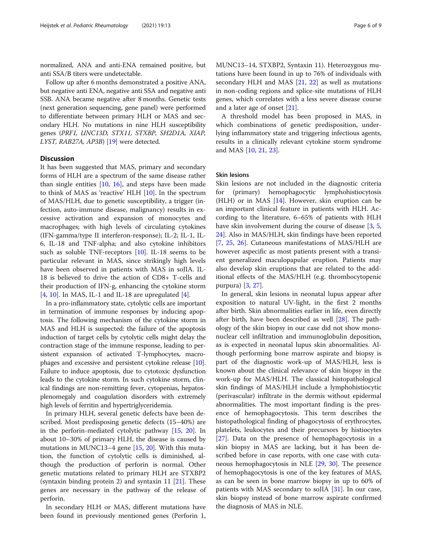normalized, ANA and anti-ENA remained positive, but anti SSA/B titers were undetectable.

Follow up after 6 months demonstrated a positive ANA, but negative anti ENA, negative anti SSA and negative anti SSB. ANA became negative after 8 months. Genetic tests (next generation sequencing, gene panel) were performed to differentiate between primary HLH or MAS and secondary HLH. No mutations in nine HLH susceptibility genes (PRF1, UNC13D, STX11, STXBP, SH2D1A, XIAP, LYST, RAB27A, AP3B) [\[19](#page-7-0)] were detected.

# **Discussion**

It has been suggested that MAS, primary and secondary forms of HLH are a spectrum of the same disease rather than single entities  $[10, 16]$  $[10, 16]$  $[10, 16]$  $[10, 16]$ , and steps have been made to think of MAS as 'reactive' HLH [[10\]](#page-7-0). In the spectrum of MAS/HLH, due to genetic susceptibility, a trigger (infection, auto-immune disease, malignancy) results in excessive activation and expansion of monocytes and macrophages; with high levels of circulating cytokines (IFN-gamma/type II interferon-response); IL-2; IL-1, IL-6, IL-18 and TNF-alpha; and also cytokine inhibitors such as soluble TNF-receptors [[10](#page-7-0)]. IL-18 seems to be particular relevant in MAS, since strikingly high levels have been observed in patients with MAS in soJIA. IL-18 is believed to drive the action of CD8+ T-cells and their production of IFN-g, enhancing the cytokine storm [[4,](#page-7-0) [10\]](#page-7-0). In MAS, IL-1 and IL-18 are upregulated  $[4]$  $[4]$ .

In a pro-inflammatory state, cytolytic cells are important in termination of immune responses by inducing apoptosis. The following mechanism of the cytokine storm in MAS and HLH is suspected: the failure of the apoptosis induction of target cells by cytolytic cells might delay the contraction stage of the immune response, leading to persistent expansion of activated T-lymphocytes, macrophages and excessive and persistent cytokine release [[10](#page-7-0)]. Failure to induce apoptosis, due to cytotoxic dysfunction leads to the cytokine storm. In such cytokine storm, clinical findings are non-remitting fever, cytopenias, hepatosplenomegaly and coagulation disorders with extremely high levels of ferritin and hypertriglyceridemia.

In primary HLH, several genetic defects have been described. Most predisposing genetic defects (15–40%) are in the perforin-mediated cytolytic pathway [[15](#page-7-0), [20\]](#page-7-0). In about 10–30% of primary HLH, the disease is caused by mutations in MUNC13–4 gene [[15,](#page-7-0) [20\]](#page-7-0). With this mutation, the function of cytolytic cells is diminished, although the production of perforin is normal. Other genetic mutations related to primary HLH are STXBP2 (syntaxin binding protein 2) and syntaxin 11 [[21](#page-7-0)]. These genes are necessary in the pathway of the release of perforin.

In secondary HLH or MAS, different mutations have been found in previously mentioned genes (Perforin 1, MUNC13–14, STXBP2, Syntaxin 11). Heterozygous mutations have been found in up to 76% of individuals with secondary HLH and MAS [[21,](#page-7-0) [22](#page-7-0)] as well as mutations in non-coding regions and splice-site mutations of HLH genes, which correlates with a less severe disease course and a later age of onset [[21](#page-7-0)].

A threshold model has been proposed in MAS, in which combinations of genetic predisposition, underlying inflammatory state and triggering infectious agents, results in a clinically relevant cytokine storm syndrome and MAS [[10,](#page-7-0) [21,](#page-7-0) [23](#page-7-0)].

### Skin lesions

Skin lesions are not included in the diagnostic criteria for (primary) hemophagocytic lymphohistiocytosis (HLH) or in MAS  $[14]$ . However, skin eruption can be an important clinical feature in patients with HLH. According to the literature, 6–65% of patients with HLH have skin involvement during the course of disease [\[3](#page-7-0), [5](#page-7-0), [24\]](#page-8-0). Also in MAS/HLH, skin findings have been reported [[7,](#page-7-0) [25,](#page-8-0) [26\]](#page-8-0). Cutaneous manifestations of MAS/HLH are however aspecific as most patients present with a transient generalized maculopapular eruption. Patients may also develop skin eruptions that are related to the additional effects of the MAS/HLH (e.g. thrombocytopenic purpura) [[3,](#page-7-0) [27\]](#page-8-0).

In general, skin lesions in neonatal lupus appear after exposition to natural UV-light, in the first 2 months after birth. Skin abnormalities earlier in life, even directly after birth, have been described as well [[28](#page-8-0)]. The pathology of the skin biopsy in our case did not show mononuclear cell infiltration and immunoglobulin deposition, as is expected in neonatal lupus skin abnormalities. Although performing bone marrow aspirate and biopsy is part of the diagnostic work-up of MAS/HLH, less is known about the clinical relevance of skin biopsy in the work-up for MAS/HLH. The classical histopathological skin findings of MAS/HLH include a lymphohistiocytic (perivascular) infiltrate in the dermis without epidermal abnormalities. The most important finding is the presence of hemophagocytosis. This term describes the histopathological finding of phagocytosis of erythrocytes, platelets, leukocytes and their precursors by histiocytes [[27\]](#page-8-0). Data on the presence of hemophagocytosis in a skin biopsy in MAS are lacking, but it has been described before in case reports, with one case with cutaneous hemophagocytosis in NLE [\[29](#page-8-0), [30\]](#page-8-0). The presence of hemophagocytosis is one of the key features of MAS, as can be seen in bone marrow biopsy in up to 60% of patients with MAS secondary to soJIA [\[31\]](#page-8-0). In our case, skin biopsy instead of bone marrow aspirate confirmed the diagnosis of MAS in NLE.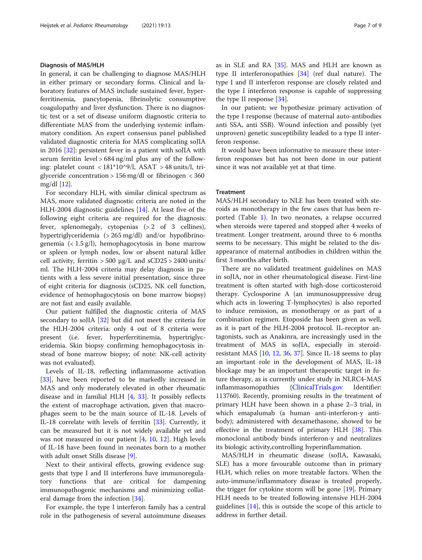## Diagnosis of MAS/HLH

In general, it can be challenging to diagnose MAS/HLH in either primary or secondary forms. Clinical and laboratory features of MAS include sustained fever, hyperferritinemia, pancytopenia, fibrinolytic consumptive coagulopathy and liver dysfunction. There is no diagnostic test or a set of disease uniform diagnostic criteria to differentiate MAS from the underlying systemic inflammatory condition. An expert consensus panel published validated diagnostic criteria for MAS complicating soJIA in 2016 [\[32](#page-8-0)]: persistent fever in a patient with soJIA with serum ferritin level  $> 684$  ng/ml plus any of the following: platelet count <  $181*10^9/$ l, ASAT > 48 units/l, triglyceride concentration > 156 mg/dl or fibrinogen < 360 mg/dl [\[12\]](#page-7-0).

For secondary HLH, with similar clinical spectrum as MAS, more validated diagnostic criteria are noted in the HLH-2004 diagnostic guidelines [[14](#page-7-0)]. At least five of the following eight criteria are required for the diagnosis: fever, splenomegaly, cytopenias (> 2 of 3 cellines), hypertriglyceridemia (> 265 mg/dl) and/or hypofibrinogenemia  $\left($  < 1.5 g/l), hemophagocytosis in bone marrow or spleen or lymph nodes, low or absent natural killer cell activity, ferritin  $>$  500 μg/L and sCD25  $>$  2400 units/ ml. The HLH-2004 criteria may delay diagnosis in patients with a less severe initial presentation, since three of eight criteria for diagnosis (sCD25, NK cell function, evidence of hemophagocytosis on bone marrow biopsy) are not fast and easily available.

Our patient fulfilled the diagnostic criteria of MAS secondary to soJIA [[32\]](#page-8-0) but did not meet the criteria for the HLH-2004 criteria: only 4 out of 8 criteria were present (i.e. fever, hyperferritinemia, hypertriglyceridemia. Skin biopsy confirming hemophagocytosis instead of bone marrow biopsy; of note: NK-cell activity was not evaluated).

Levels of IL-18, reflecting inflammasome activation [[33\]](#page-8-0), have been reported to be markedly increased in MAS and only moderately elevated in other rheumatic disease and in familial HLH [\[4](#page-7-0), [33](#page-8-0)]. It possibly reflects the extent of macrophage activation, given that macrophages seem to be the main source of IL-18. Levels of IL-18 correlate with levels of ferritin [[33\]](#page-8-0). Currently, it can be measured but it is not widely available yet and was not measured in our patient [[4,](#page-7-0) [10](#page-7-0), [12\]](#page-7-0). High levels of IL-18 have been found in neonates born to a mother with adult onset Stills disease [\[9](#page-7-0)].

Next to their antiviral effects, growing evidence suggests that type I and II interferons have immunoregulatory functions that are critical for dampening immunopathogenic mechanisms and minimizing collateral damage from the infection [[34](#page-8-0)].

For example, the type I interferon family has a central role in the pathogenesis of several autoimmune diseases as in SLE and RA [[35\]](#page-8-0). MAS and HLH are known as type II interferonopathies [\[34](#page-8-0)] (ref dual nature). The type I and II interferon response are closely related and the type I interferon response is capable of suppressing the type II response [\[34\]](#page-8-0).

In our patient; we hypothesize primary activation of the type I response (because of maternal auto-antibodies anti SSA, anti SSB). Wound infection and possibly (yet unproven) genetic susceptibility leaded to a type II interferon response.

It would have been informative to measure these interferon responses but has not been done in our patient since it was not available yet at that time.

# Treatment

MAS/HLH secondary to NLE has been treated with steroids as monotherapy in the few cases that has been reported (Table [1](#page-2-0)). In two neonates, a relapse occurred when steroids were tapered and stopped after 4 weeks of treatment. Longer treatment, around three to 6 months seems to be necessary. This might be related to the disappearance of maternal antibodies in children within the first 3 months after birth.

There are no validated treatment guidelines on MAS in soJIA, nor in other rheumatological disease. First-line treatment is often started with high-dose corticosteroid therapy. Cyclosporine A (an immunosuppressive drug which acts in lowering T-lymphocytes) is also reported to induce remission, as monotherapy or as part of a combination regimen. Etoposide has been given as well, as it is part of the HLH-2004 protocol. IL-receptor antagonists, such as Anakinra, are increasingly used in the treatment of MAS in soJIA, especially in steroidresistant MAS [\[10](#page-7-0), [12](#page-7-0), [36](#page-8-0), [37](#page-8-0)]. Since IL-18 seems to play an important role in the development of MAS, IL-18 blockage may be an important therapeutic target in future therapy, as is currently under study in NLRC4-MAS inflammasomopathies ([ClinicalTrials.gov](http://clinicaltrials.gov) Identifier: 113760). Recently, promising results in the treatment of primary HLH have been shown in a phase 2–3 trial, in which emapalumab (a human anti-interferon-y antibody); administered with dexamethasone, showed to be effective in the treatment of primary HLH [[38\]](#page-8-0). This monoclonal antibody binds interferon-y and neutralizes its biologic activity,controlling hyperinflammation.

MAS/HLH in rheumatic disease (soJIA, Kawasaki, SLE) has a more favourable outcome than in primary HLH, which relies on more treatable factors. When the auto-immune/inflammatory disease is treated properly, the trigger for cytokine storm will be gone [[19\]](#page-7-0). Primary HLH needs to be treated following intensive HLH-2004 guidelines [[14\]](#page-7-0), this is outside the scope of this article to address in further detail.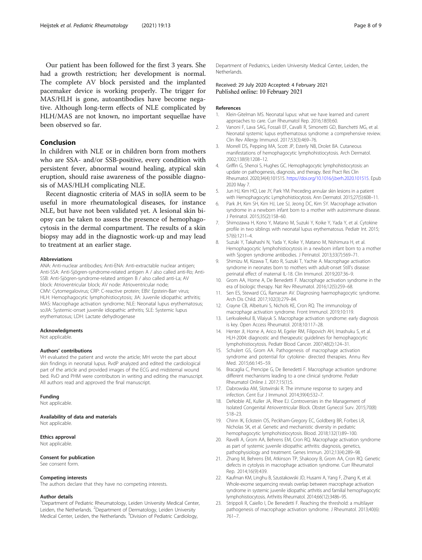<span id="page-7-0"></span>Our patient has been followed for the first 3 years. She had a growth restriction; her development is normal. The complete AV block persisted and the implanted pacemaker device is working properly. The trigger for MAS/HLH is gone, autoantibodies have become negative. Although long-term effects of NLE complicated by HLH/MAS are not known, no important sequellae have been observed so far.

# Conclusion

In children with NLE or in children born from mothers who are SSA- and/or SSB-positive, every condition with persistent fever, abnormal wound healing, atypical skin eruption, should raise awareness of the possible diagnosis of MAS/HLH complicating NLE.

Recent diagnostic criteria of MAS in soJIA seem to be useful in more rheumatological diseases, for instance NLE, but have not been validated yet. A lesional skin biopsy can be taken to assess the presence of hemophagocytosis in the dermal compartment. The results of a skin biopsy may add in the diagnostic work-up and may lead to treatment at an earlier stage.

#### Abbreviations

ANA: Anti-nuclear antibodies; Anti-ENA: Anti-extractable nuclear antigen; Anti-SSA: Anti-Sjögren-syndrome-related antigen A / also called anti-Ro; Anti-SSB: Anti-Sjögren-syndrome-related antigen B / also called anti-La; AV block: Atrioventricular block; AV node: Atrioventricular node; CMV: Cytomegalovirus; CRP: C-reactive protein; EBV: Epstein-Barr virus; HLH: Hemophagocytic lymphohistiocytosis; JIA: Juvenile idiopathic arthritis; MAS: Macrophage activation syndrome; NLE: Neonatal lupus erythematosus; soJIA: Systemic-onset juvenile idiopathic arthritis; SLE: Systemic lupus erythematosus; LDH: Lactate dehydrogenase

#### Acknowledgments

Not applicable.

#### Authors' contributions

VH evaluated the patient and wrote the article; MH wrote the part about skin findings in neonatal lupus. RvdP analyzed and edited the cardiological part of the article and provided images of the ECG and midsternal wound bed. RvD and PHM were contributors in writing and editing the manuscript. All authors read and approved the final manuscript.

#### Funding

Not applicable.

# Availability of data and materials

Not applicable.

#### Ethics approval

Not applicable.

#### Consent for publication

See consent form.

#### Competing interests

The authors declare that they have no competing interests.

#### Author details

<sup>1</sup>Department of Pediatric Rheumatology, Leiden University Medical Center, Leiden, the Netherlands. <sup>2</sup>Department of Dermatology, Leiden University Medical Center, Leiden, the Netherlands. <sup>3</sup> Division of Pediatric Cardiology,

Department of Pediatrics, Leiden University Medical Center, Leiden, the Netherlands.

#### Received: 29 July 2020 Accepted: 4 February 2021 Published online: 10 February 2021

#### References

- 1. Klein-Gitelman MS. Neonatal lupus: what we have learned and current approaches to care. Curr Rheumatol Rep. 2016;18(9):60.
- 2. Vanoni F, Lava SAG, Fossali EF, Cavalli R, Simonetti GD, Bianchetti MG, et al. Neonatal systemic lupus erythematosus syndrome: a comprehensive review. Clin Rev Allergy Immunol. 2017;53(3):469–76.
- 3. Morrell DS, Pepping MA, Scott JP, Esterly NB, Drolet BA. Cutaneous manifestations of hemophagocytic lymphohistiocytosis. Arch Dermatol. 2002;138(9):1208–12.
- 4. Griffin G, Shenoi S, Hughes GC. Hemophagocytic lymphohistiocytosis: an update on pathogenesis, diagnosis, and therapy. Best Pract Res Clin Rheumatol. 2020;34(4):101515. <https://doi.org/10.1016/j.berh.2020.101515>. Epub 2020 May 7.
- 5. Jun HJ, Kim HO, Lee JY, Park YM. Preceding annular skin lesions in a patient with Hemophagocytic Lymphohistiocytosis. Ann Dermatol. 2015;27(5):608–11.
- 6. Park JH, Kim SH, Kim HJ, Lee SJ, Jeong DC, Kim SY. Macrophage activation syndrome in a newborn infant born to a mother with autoimmune disease. J Perinatol. 2015;35(2):158–60.
- 7. Shimozawa H, Kono Y, Matano M, Suzuki Y, Koike Y, Yada Y, et al. Cytokine profile in two siblings with neonatal lupus erythematosus. Pediatr Int. 2015; 57(6):1211–4.
- 8. Suzuki Y, Takahashi N, Yada Y, Koike Y, Matano M, Nishimura H, et al. Hemophagocytic lymphohistiocytosis in a newborn infant born to a mother with Sjogren syndrome antibodies. J Perinatol. 2013;33(7):569–71.
- 9. Shimizu M, Kizawa T, Kato R, Suzuki T, Yachie A. Macrophage activation syndrome in neonates born to mothers with adult-onset Still's disease: perinatal effect of maternal IL-18. Clin Immunol. 2019;207:36–9.
- 10. Grom AA, Horne A, De Benedetti F. Macrophage activation syndrome in the era of biologic therapy. Nat Rev Rheumatol. 2016;12(5):259–68.
- 11. Sen ES, Steward CG, Ramanan AV. Diagnosing haemophagocytic syndrome. Arch Dis Child. 2017;102(3):279–84.
- 12. Crayne CB, Albeituni S, Nichols KE, Cron RQ. The immunology of macrophage activation syndrome. Front Immunol. 2019;10:119.
- 13. Lerkvaleekul B, Vilaiyuk S. Macrophage activation syndrome: early diagnosis is key. Open Access Rheumatol. 2018;10:117–28.
- 14. Henter JI, Horne A, Arico M, Egeler RM, Filipovich AH, Imashuku S, et al. HLH-2004: diagnostic and therapeutic guidelines for hemophagocytic lymphohistiocytosis. Pediatr Blood Cancer. 2007;48(2):124–31.
- 15. Schulert GS, Grom AA. Pathogenesis of macrophage activation syndrome and potential for cytokine- directed therapies. Annu Rev Med. 2015;66:145–59.
- 16. Bracaglia C, Prencipe G, De Benedetti F. Macrophage activation syndrome: different mechanisms leading to a one clinical syndrome. Pediatr Rheumatol Online J. 2017;15(1):5.
- 17. Dabrowska AM, Slotwinski R. The immune response to surgery and infection. Cent Eur J Immunol. 2014;39(4):532–7.
- 18. DeNoble AE, Kuller JA, Rhee EJ. Controversies in the Management of Isolated Congenital Atrioventricular Block. Obstet Gynecol Surv. 2015;70(8): 518–23.
- 19. Chinn IK, Eckstein OS, Peckham-Gregory EC, Goldberg BR, Forbes LR, Nicholas SK, et al. Genetic and mechanistic diversity in pediatric hemophagocytic lymphohistiocytosis. Blood. 2018;132(1):89–100.
- 20. Ravelli A, Grom AA, Behrens EM, Cron RQ. Macrophage activation syndrome as part of systemic juvenile idiopathic arthritis: diagnosis, genetics, pathophysiology and treatment. Genes Immun. 2012;13(4):289–98.
- 21. Zhang M, Behrens EM, Atkinson TP, Shakoory B, Grom AA, Cron RQ. Genetic defects in cytolysis in macrophage activation syndrome. Curr Rheumatol Rep. 2014;16(9):439.
- 22. Kaufman KM, Linghu B, Szustakowski JD, Husami A, Yang F, Zhang K, et al. Whole-exome sequencing reveals overlap between macrophage activation syndrome in systemic juvenile idiopathic arthritis and familial hemophagocytic lymphohistiocytosis. Arthritis Rheumatol. 2014;66(12):3486–95.
- 23. Strippoli R, Caiello I, De Benedetti F. Reaching the threshold: a multilayer pathogenesis of macrophage activation syndrome. J Rheumatol. 2013;40(6): 761–7.